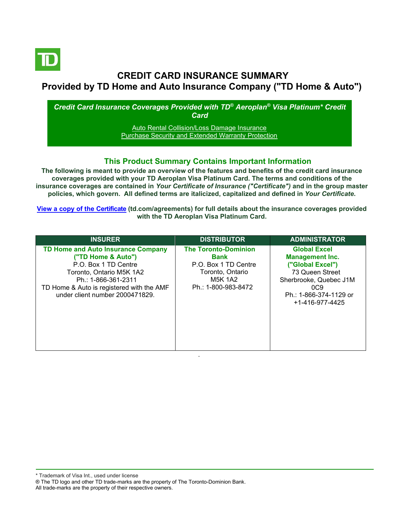

# **CREDIT CARD INSURANCE SUMMARY Provided by TD Home and Auto Insurance Company ("TD Home & Auto")**

*Credit Card Insurance Coverages Provided with TD® Aeroplan® Visa Platinum\* Credit Card*

> [Auto Rental Collision/Loss Damage Insurance](#page-3-0) [Purchase Security and Extended Warranty Protection](#page-4-0)

## **This Product Summary Contains Important Information**

**The following is meant to provide an overview of the features and benefits of the credit card insurance coverages provided with your TD Aeroplan Visa Platinum Card. The terms and conditions of the insurance coverages are contained in** *Your Certificate of Insurance ("Certificate")* **and in the group master policies, which govern. All defined terms are italicized, capitalized and defined in** *Your Certificate***.**

**[View a copy of the Certificate](https://www.td.com/ca/en/personal-banking/how-to/manage-my-credit-card/getting-started/?tdtab=4) (td.com/agreements) for full details about the insurance coverages provided with the TD Aeroplan Visa Platinum Card.**

| <b>INSURER</b>                                                                                                                                                                                                             | <b>DISTRIBUTOR</b>                                                                                                       | <b>ADMINISTRATOR</b>                                                                                                                                                       |
|----------------------------------------------------------------------------------------------------------------------------------------------------------------------------------------------------------------------------|--------------------------------------------------------------------------------------------------------------------------|----------------------------------------------------------------------------------------------------------------------------------------------------------------------------|
| <b>TD Home and Auto Insurance Company</b><br>("TD Home & Auto")<br>P.O. Box 1 TD Centre<br>Toronto, Ontario M5K 1A2<br>Ph.: 1-866-361-2311<br>TD Home & Auto is registered with the AMF<br>under client number 2000471829. | <b>The Toronto-Dominion</b><br>Bank<br>P.O. Box 1 TD Centre<br>Toronto, Ontario<br><b>M5K 1A2</b><br>Ph.: 1-800-983-8472 | <b>Global Excel</b><br><b>Management Inc.</b><br>("Global Excel")<br>73 Queen Street<br>Sherbrooke, Quebec J1M<br>0C9<br>Ph.: 1-866-374-1129 or<br>$+1 - 416 - 977 - 4425$ |

\* Trademark of Visa Int., used under license

All trade-marks are the property of their respective owners.

<sup>®</sup> The TD logo and other TD trade-marks are the property of The Toronto-Dominion Bank.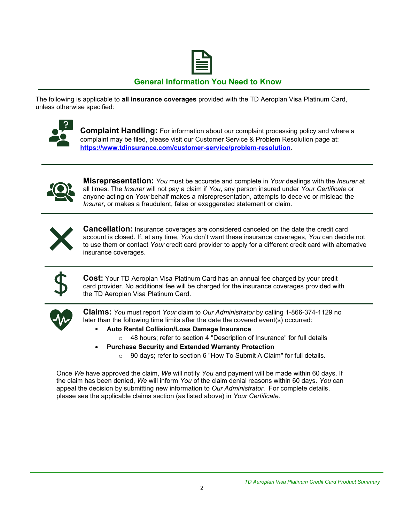

## **General Information You Need to Know**

The following is applicable to **all insurance coverages** provided with the TD Aeroplan Visa Platinum Card, unless otherwise specified*:*



**Complaint Handling:** For information about our complaint processing policy and where a complaint may be filed, please visit our Customer Service & Problem Resolution page at: **<https://www.tdinsurance.com/customer-service/problem-resolution>**.



**Misrepresentation:** *You* must be accurate and complete in *Your* dealings with the *Insurer* at all times. The *Insurer* will not pay a claim if *You*, any person insured under *Your Certificate* or anyone acting on *Your* behalf makes a misrepresentation, attempts to deceive or mislead the *Insurer*, or makes a fraudulent, false or exaggerated statement or claim.



**Cancellation:** Insurance coverages are considered canceled on the date the credit card account is closed. If, at any time, *You* don't want these insurance coverages, *You* can decide not to use them or contact *Your* credit card provider to apply for a different credit card with alternative insurance coverages.



**Cost:** Your TD Aeroplan Visa Platinum Card has an annual fee charged by your credit card provider. No additional fee will be charged for the insurance coverages provided with the TD Aeroplan Visa Platinum Card.



**Claims:** *You* must report *Your* claim to *Our Administrator* by calling 1-866-374-1129 no later than the following time limits after the date the covered event(s) occurred:

- **Auto Rental Collision/Loss Damage Insurance** 
	- o 48 hours; refer to section 4 "Description of Insurance" for full details
	- **Purchase Security and Extended Warranty Protection**
		- o 90 days; refer to section 6 "How To Submit A Claim" for full details.

Once *We* have approved the claim, *We* will notify *You* and payment will be made within 60 days. If the claim has been denied, *We* will inform *You* of the claim denial reasons within 60 days. *You* can appeal the decision by submitting new information to *Our Administrator*. For complete details, please see the applicable claims section (as listed above) in *Your Certificate.*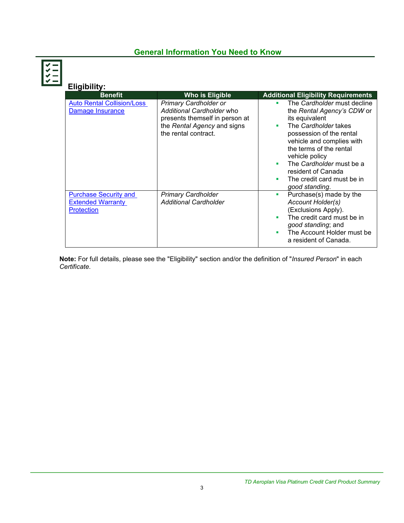# **General Information You Need to Know**

| Eligibility:                                                                  |                                                                                                                                                    |                                                                                                                                                                                                                                                                                                             |
|-------------------------------------------------------------------------------|----------------------------------------------------------------------------------------------------------------------------------------------------|-------------------------------------------------------------------------------------------------------------------------------------------------------------------------------------------------------------------------------------------------------------------------------------------------------------|
| <b>Benefit</b>                                                                | <b>Who is Eligible</b>                                                                                                                             | <b>Additional Eligibility Requirements</b>                                                                                                                                                                                                                                                                  |
| <b>Auto Rental Collision/Loss</b><br>Damage Insurance                         | <b>Primary Cardholder or</b><br>Additional Cardholder who<br>presents themself in person at<br>the Rental Agency and signs<br>the rental contract. | The Cardholder must decline<br>the Rental Agency's CDW or<br>its equivalent<br>The Cardholder takes<br>possession of the rental<br>vehicle and complies with<br>the terms of the rental<br>vehicle policy<br>The Cardholder must be a<br>resident of Canada<br>The credit card must be in<br>good standing. |
| <b>Purchase Security and</b><br><b>Extended Warranty</b><br><b>Protection</b> | <b>Primary Cardholder</b><br><b>Additional Cardholder</b>                                                                                          | Purchase(s) made by the<br>a.<br><b>Account Holder(s)</b><br>(Exclusions Apply).<br>The credit card must be in<br>good standing; and<br>The Account Holder must be<br>a resident of Canada.                                                                                                                 |

**Note:** For full details, please see the "Eligibility" section and/or the definition of "*Insured Person*" in each *Certificate*.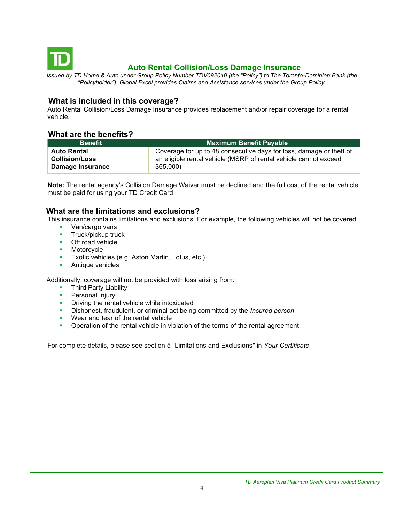<span id="page-3-0"></span>

# **Auto Rental Collision/Loss Damage Insurance**

*Issued by TD Home & Auto under Group Policy Number TDV092010 (the "Policy") to The Toronto-Dominion Bank (the "Policyholder"). Global Excel provides Claims and Assistance services under the Group Policy.*

## **What is included in this coverage?**

Auto Rental Collision/Loss Damage Insurance provides replacement and/or repair coverage for a rental vehicle.

## **What are the benefits?**

| <b>Benefit</b>        | <b>Maximum Benefit Payable</b>                                      |  |  |
|-----------------------|---------------------------------------------------------------------|--|--|
| <b>Auto Rental</b>    | Coverage for up to 48 consecutive days for loss, damage or theft of |  |  |
| <b>Collision/Loss</b> | an eligible rental vehicle (MSRP of rental vehicle cannot exceed    |  |  |
| Damage Insurance      | \$65,000                                                            |  |  |

**Note:** The rental agency's Collision Damage Waiver must be declined and the full cost of the rental vehicle must be paid for using your TD Credit Card.

## **What are the limitations and exclusions?**

This insurance contains limitations and exclusions. For example, the following vehicles will not be covered:

- Van/cargo vans
- **■** Truck/pickup truck
- Off road vehicle
- Motorcycle
- **Exotic vehicles (e.g. Aston Martin, Lotus, etc.)**
- Antique vehicles

Additionally, coverage will not be provided with loss arising from:

- **Third Party Liability**
- **•** Personal Injury
- **•** Driving the rental vehicle while intoxicated
- Dishonest, fraudulent, or criminal act being committed by the *Insured person*
- Wear and tear of the rental vehicle
- **•** Operation of the rental vehicle in violation of the terms of the rental agreement

For complete details, please see section 5 "Limitations and Exclusions" in *Your Certificate.*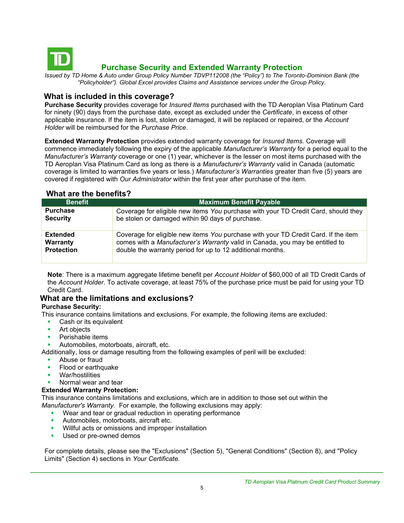<span id="page-4-0"></span>

# **Purchase Security and Extended Warranty Protection**

*Issued by TD Home & Auto under Group Policy Number TDVP112008 (the "Policy") to The Toronto-Dominion Bank (the "Policyholder"). Global Excel provides Claims and Assistance services under the Group Policy.*

### **What is included in this coverage?**

**Purchase Security** provides coverage for *Insured Items* purchased with the TD Aeroplan Visa Platinum Card for ninety (90) days from the purchase date, except as excluded under the *Certificate*, in excess of other applicable insurance. If the item is lost, stolen or damaged, it will be replaced or repaired, or the *Account Holder* will be reimbursed for the *Purchase Price*.

**Extended Warranty Protection** provides extended warranty coverage for *Insured Items.* Coverage will commence immediately following the expiry of the applicable *Manufacturer's Warranty* for a period equal to the *Manufacturer's Warranty* coverage or one (1) year, whichever is the lesser on most items purchased with the TD Aeroplan Visa Platinum Card as long as there is a *Manufacturer's Warranty* valid in Canada (automatic coverage is limited to warranties five years or less.) *Manufacturer's Warranties* greater than five (5) years are covered if registered with *Our Administrator* within the first year after purchase of the item.

## **What are the benefits?**

| <b>Benefit</b>    | <b>Maximum Benefit Payable</b>                                                     |  |  |
|-------------------|------------------------------------------------------------------------------------|--|--|
| <b>Purchase</b>   | Coverage for eligible new items You purchase with your TD Credit Card, should they |  |  |
| <b>Security</b>   | be stolen or damaged within 90 days of purchase.                                   |  |  |
| <b>Extended</b>   | Coverage for eligible new items You purchase with your TD Credit Card. If the item |  |  |
| Warranty          | comes with a Manufacturer's Warranty valid in Canada, you may be entitled to       |  |  |
| <b>Protection</b> | double the warranty period for up to 12 additional months.                         |  |  |

**Note**: There is a maximum aggregate lifetime benefit per *Account Holder* of \$60,000 of all TD Credit Cards of the *Account Holder*. To activate coverage, at least 75% of the purchase price must be paid for using your TD Credit Card.

## **What are the limitations and exclusions?**

### **Purchase Security:**

This insurance contains limitations and exclusions. For example, the following items are excluded:

- Cash or its equivalent
- Art objects
- Perishable items
- Automobiles, motorboats, aircraft, etc.

Additionally, loss or damage resulting from the following examples of peril will be excluded:

- Abuse or fraud
- Flood or earthquake
- War/hostilities
- Normal wear and tear

### **Extended Warranty Protection:**

This insurance contains limitations and exclusions, which are in addition to those set out within the *Manufacturer's Warranty*. For example, the following exclusions may apply:

- Wear and tear or gradual reduction in operating performance
- **EXECUTE:** Automobiles, motorboats, aircraft etc.
- **•** Willful acts or omissions and improper installation
- Used or pre-owned demos

For complete details, please see the "Exclusions" (Section 5), "General Conditions" (Section 8), and "Policy Limits" (Section 4) sections in *Your Certificate.*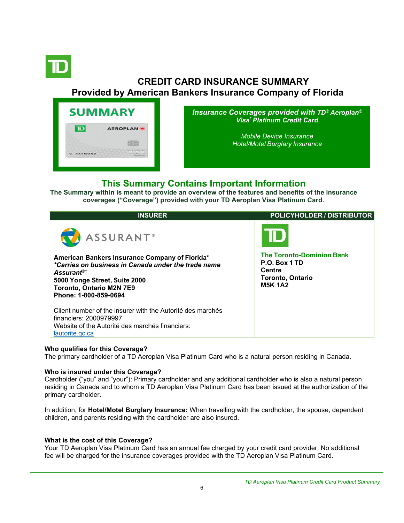<span id="page-5-0"></span>

# **CREDIT CARD INSURANCE SUMMARY Provided by American Bankers Insurance Company of Florida**



*Insurance Coverages provided with TD® Aeroplan® Visa\* Platinum Credit Card*

> *[Mobile Device Insurance](#page-5-0) [Hotel/Motel](#page-5-0) Burglary Insurance*

# **This Summary Contains Important Information**

**The Summary within is meant to provide an overview of the features and benefits of the insurance coverages ("Coverage") provided with your TD Aeroplan Visa Platinum Card.**

| <b>INSURER</b>                                                                                                                                                                                                                                        | <b>POLICYHOLDER / DISTRIBUTOR</b>                                                                                     |
|-------------------------------------------------------------------------------------------------------------------------------------------------------------------------------------------------------------------------------------------------------|-----------------------------------------------------------------------------------------------------------------------|
| ASSURANT <sup>®</sup><br>American Bankers Insurance Company of Florida*<br>*Carries on business in Canada under the trade name<br>Assurant <sup>®†</sup><br>5000 Yonge Street, Suite 2000<br><b>Toronto, Ontario M2N 7E9</b><br>Phone: 1-800-859-0694 | ID<br><b>The Toronto-Dominion Bank</b><br>P.O. Box 1 TD<br><b>Centre</b><br><b>Toronto, Ontario</b><br><b>M5K 1A2</b> |
| Client number of the insurer with the Autorité des marchés<br>financiers: 2000979997<br>Website of the Autorité des marchés financiers:<br>lautorite.gc.ca                                                                                            |                                                                                                                       |

### **Who qualifies for this Coverage?**

The primary cardholder of a TD Aeroplan Visa Platinum Card who is a natural person residing in Canada.

### **Who is insured under this Coverage?**

Cardholder ("you" and "your"): Primary cardholder and any additional cardholder who is also a natural person residing in Canada and to whom a TD Aeroplan Visa Platinum Card has been issued at the authorization of the primary cardholder.

In addition, for **Hotel/Motel Burglary Insurance:** When travelling with the cardholder, the spouse, dependent children, and parents residing with the cardholder are also insured.

## **What is the cost of this Coverage?**

Your TD Aeroplan Visa Platinum Card has an annual fee charged by your credit card provider. No additional fee will be charged for the insurance coverages provided with the TD Aeroplan Visa Platinum Card.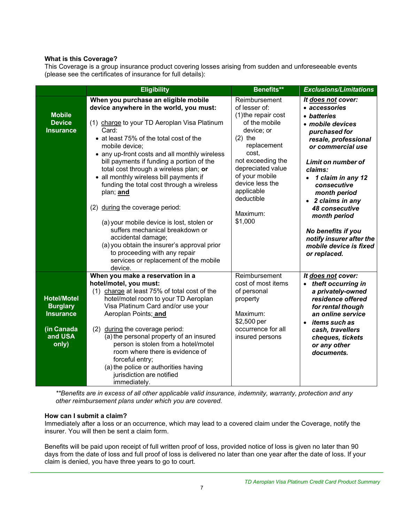### **What is this Coverage?**

This Coverage is a group insurance product covering losses arising from sudden and unforeseeable events (please see the certificates of insurance for full details):

|                                                                                             | <b>Eligibility</b>                                                                                                                                                                                                                                                                                                                                                                                                                                                                                                                                                                                                                                                                                                                 | <b>Benefits**</b>                                                                                                                                                                                                                                           | <b>Exclusions/Limitations</b>                                                                                                                                                                                                                                                                                                                                                                  |
|---------------------------------------------------------------------------------------------|------------------------------------------------------------------------------------------------------------------------------------------------------------------------------------------------------------------------------------------------------------------------------------------------------------------------------------------------------------------------------------------------------------------------------------------------------------------------------------------------------------------------------------------------------------------------------------------------------------------------------------------------------------------------------------------------------------------------------------|-------------------------------------------------------------------------------------------------------------------------------------------------------------------------------------------------------------------------------------------------------------|------------------------------------------------------------------------------------------------------------------------------------------------------------------------------------------------------------------------------------------------------------------------------------------------------------------------------------------------------------------------------------------------|
| <b>Mobile</b><br><b>Device</b><br><b>Insurance</b>                                          | When you purchase an eligible mobile<br>device anywhere in the world, you must:<br>(1) charge to your TD Aeroplan Visa Platinum<br>Card:<br>• at least 75% of the total cost of the<br>mobile device:<br>• any up-front costs and all monthly wireless<br>bill payments if funding a portion of the<br>total cost through a wireless plan; or<br>• all monthly wireless bill payments if<br>funding the total cost through a wireless<br>plan; and<br>during the coverage period:<br>(2)<br>(a) your mobile device is lost, stolen or<br>suffers mechanical breakdown or<br>accidental damage;<br>(a) you obtain the insurer's approval prior<br>to proceeding with any repair<br>services or replacement of the mobile<br>device. | Reimbursement<br>of lesser of:<br>(1) the repair cost<br>of the mobile<br>device; or<br>$(2)$ the<br>replacement<br>cost,<br>not exceeding the<br>depreciated value<br>of your mobile<br>device less the<br>applicable<br>deductible<br>Maximum:<br>\$1,000 | It does not cover:<br>• accessories<br>• batteries<br>· mobile devices<br>purchased for<br>resale, professional<br>or commercial use<br><b>Limit on number of</b><br>claims:<br>1 claim in any 12<br>$\bullet$<br>consecutive<br>month period<br>2 claims in any<br>48 consecutive<br>month period<br>No benefits if you<br>notify insurer after the<br>mobile device is fixed<br>or replaced. |
| <b>Hotel/Motel</b><br><b>Burglary</b><br><b>Insurance</b><br>(in Canada<br>and USA<br>only) | When you make a reservation in a<br>hotel/motel, you must:<br>(1) charge at least 75% of total cost of the<br>hotel/motel room to your TD Aeroplan<br>Visa Platinum Card and/or use your<br>Aeroplan Points; and<br>during the coverage period:<br>(2)<br>(a) the personal property of an insured<br>person is stolen from a hotel/motel<br>room where there is evidence of<br>forceful entry;<br>(a) the police or authorities having<br>jurisdiction are notified<br>immediately.                                                                                                                                                                                                                                                | Reimbursement<br>cost of most items<br>of personal<br>property<br>Maximum:<br>\$2,500 per<br>occurrence for all<br>insured persons                                                                                                                          | It does not cover:<br>• theft occurring in<br>a privately-owned<br>residence offered<br>for rental though<br>an online service<br>items such as<br>$\bullet$<br>cash, travellers<br>cheques, tickets<br>or any other<br>documents.                                                                                                                                                             |

*\*\*Benefits are in excess of all other applicable valid insurance, indemnity, warranty, protection and any other reimbursement plans under which you are covered.*

### **How can I submit a claim?**

Immediately after a loss or an occurrence, which may lead to a covered claim under the Coverage, notify the insurer. You will then be sent a claim form.

Benefits will be paid upon receipt of full written proof of loss, provided notice of loss is given no later than 90 days from the date of loss and full proof of loss is delivered no later than one year after the date of loss. If your claim is denied, you have three years to go to court.